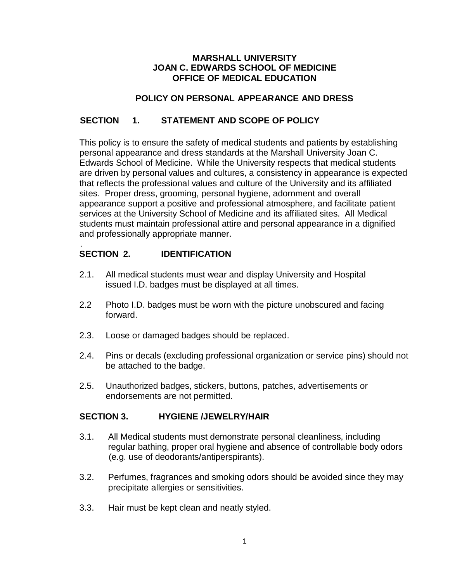#### **MARSHALL UNIVERSITY JOAN C. EDWARDS SCHOOL OF MEDICINE OFFICE OF MEDICAL EDUCATION**

#### **POLICY ON PERSONAL APPEARANCE AND DRESS**

# **SECTION 1. STATEMENT AND SCOPE OF POLICY**

This policy is to ensure the safety of medical students and patients by establishing personal appearance and dress standards at the Marshall University Joan C. Edwards School of Medicine. While the University respects that medical students are driven by personal values and cultures, a consistency in appearance is expected that reflects the professional values and culture of the University and its affiliated sites. Proper dress, grooming, personal hygiene, adornment and overall appearance support a positive and professional atmosphere, and facilitate patient services at the University School of Medicine and its affiliated sites. All Medical students must maintain professional attire and personal appearance in a dignified and professionally appropriate manner.

#### . **SECTION 2. IDENTIFICATION**

- 2.1. All medical students must wear and display University and Hospital issued I.D. badges must be displayed at all times.
- 2.2 Photo I.D. badges must be worn with the picture unobscured and facing forward.
- 2.3. Loose or damaged badges should be replaced.
- 2.4. Pins or decals (excluding professional organization or service pins) should not be attached to the badge.
- 2.5. Unauthorized badges, stickers, buttons, patches, advertisements or endorsements are not permitted.

#### **SECTION 3. HYGIENE /JEWELRY/HAIR**

- 3.1. All Medical students must demonstrate personal cleanliness, including regular bathing, proper oral hygiene and absence of controllable body odors (e.g. use of deodorants/antiperspirants).
- 3.2. Perfumes, fragrances and smoking odors should be avoided since they may precipitate allergies or sensitivities.
- 3.3. Hair must be kept clean and neatly styled.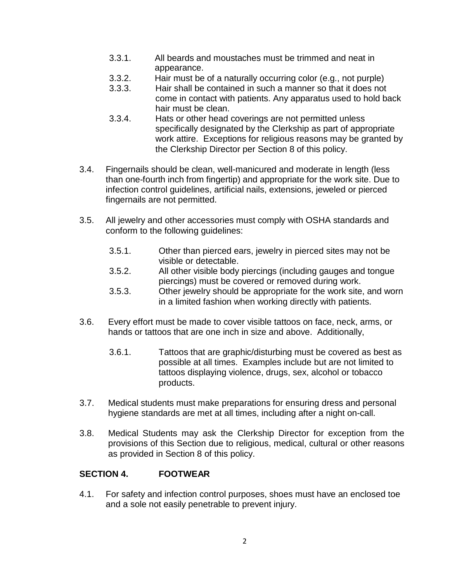- 3.3.1. All beards and moustaches must be trimmed and neat in appearance.
- 3.3.2. Hair must be of a naturally occurring color (e.g., not purple)
- 3.3.3. Hair shall be contained in such a manner so that it does not come in contact with patients. Any apparatus used to hold back hair must be clean.
- 3.3.4. Hats or other head coverings are not permitted unless specifically designated by the Clerkship as part of appropriate work attire. Exceptions for religious reasons may be granted by the Clerkship Director per Section 8 of this policy.
- 3.4. Fingernails should be clean, well-manicured and moderate in length (less than one-fourth inch from fingertip) and appropriate for the work site. Due to infection control guidelines, artificial nails, extensions, jeweled or pierced fingernails are not permitted.
- 3.5. All jewelry and other accessories must comply with OSHA standards and conform to the following guidelines:
	- 3.5.1. Other than pierced ears, jewelry in pierced sites may not be visible or detectable.
	- 3.5.2. All other visible body piercings (including gauges and tongue piercings) must be covered or removed during work.
	- 3.5.3. Other jewelry should be appropriate for the work site, and worn in a limited fashion when working directly with patients.
- 3.6. Every effort must be made to cover visible tattoos on face, neck, arms, or hands or tattoos that are one inch in size and above. Additionally,
	- 3.6.1. Tattoos that are graphic/disturbing must be covered as best as possible at all times. Examples include but are not limited to tattoos displaying violence, drugs, sex, alcohol or tobacco products.
- 3.7. Medical students must make preparations for ensuring dress and personal hygiene standards are met at all times, including after a night on-call.
- 3.8. Medical Students may ask the Clerkship Director for exception from the provisions of this Section due to religious, medical, cultural or other reasons as provided in Section 8 of this policy.

# **SECTION 4. FOOTWEAR**

4.1. For safety and infection control purposes, shoes must have an enclosed toe and a sole not easily penetrable to prevent injury.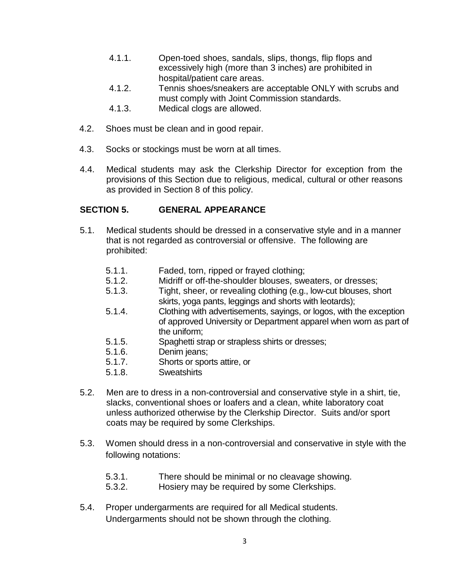- 4.1.1. Open-toed shoes, sandals, slips, thongs, flip flops and excessively high (more than 3 inches) are prohibited in hospital/patient care areas.
- 4.1.2. Tennis shoes/sneakers are acceptable ONLY with scrubs and must comply with Joint Commission standards.
- 4.1.3. Medical clogs are allowed.
- 4.2. Shoes must be clean and in good repair.
- 4.3. Socks or stockings must be worn at all times.
- 4.4. Medical students may ask the Clerkship Director for exception from the provisions of this Section due to religious, medical, cultural or other reasons as provided in Section 8 of this policy.

# **SECTION 5. GENERAL APPEARANCE**

- 5.1. Medical students should be dressed in a conservative style and in a manner that is not regarded as controversial or offensive. The following are prohibited:
	- 5.1.1. Faded, torn, ripped or frayed clothing;
	- 5.1.2. Midriff or off-the-shoulder blouses, sweaters, or dresses;
	- 5.1.3. Tight, sheer, or revealing clothing (e.g., low-cut blouses, short skirts, yoga pants, leggings and shorts with leotards);
	- 5.1.4. Clothing with advertisements, sayings, or logos, with the exception of approved University or Department apparel when worn as part of the uniform;
	- 5.1.5. Spaghetti strap or strapless shirts or dresses;
	- 5.1.6. Denim jeans;
	- 5.1.7. Shorts or sports attire, or<br>5.1.8. Sweatshirts
	- **Sweatshirts**
- 5.2. Men are to dress in a non-controversial and conservative style in a shirt, tie, slacks, conventional shoes or loafers and a clean, white laboratory coat unless authorized otherwise by the Clerkship Director. Suits and/or sport coats may be required by some Clerkships.
- 5.3. Women should dress in a non-controversial and conservative in style with the following notations:
	- 5.3.1. There should be minimal or no cleavage showing.
	- 5.3.2. Hosiery may be required by some Clerkships.
- 5.4. Proper undergarments are required for all Medical students. Undergarments should not be shown through the clothing.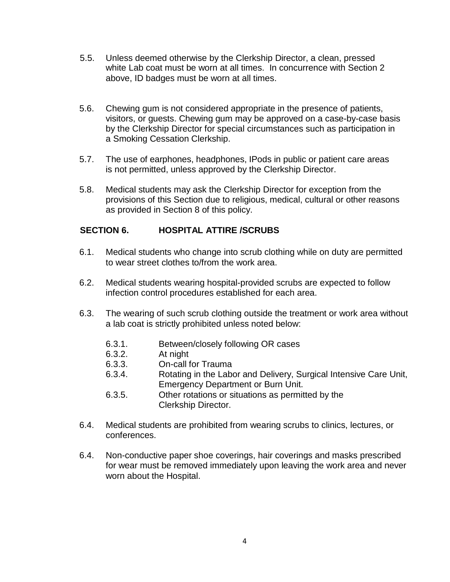- 5.5. Unless deemed otherwise by the Clerkship Director, a clean, pressed white Lab coat must be worn at all times. In concurrence with Section 2 above, ID badges must be worn at all times.
- 5.6. Chewing gum is not considered appropriate in the presence of patients, visitors, or guests. Chewing gum may be approved on a case-by-case basis by the Clerkship Director for special circumstances such as participation in a Smoking Cessation Clerkship.
- 5.7. The use of earphones, headphones, IPods in public or patient care areas is not permitted, unless approved by the Clerkship Director.
- 5.8. Medical students may ask the Clerkship Director for exception from the provisions of this Section due to religious, medical, cultural or other reasons as provided in Section 8 of this policy.

# **SECTION 6. HOSPITAL ATTIRE /SCRUBS**

- 6.1. Medical students who change into scrub clothing while on duty are permitted to wear street clothes to/from the work area.
- 6.2. Medical students wearing hospital-provided scrubs are expected to follow infection control procedures established for each area.
- 6.3. The wearing of such scrub clothing outside the treatment or work area without a lab coat is strictly prohibited unless noted below:
	- 6.3.1. Between/closely following OR cases
	- 6.3.2. At night
	- 6.3.3. On-call for Trauma
	- 6.3.4. Rotating in the Labor and Delivery, Surgical Intensive Care Unit, Emergency Department or Burn Unit.
	- 6.3.5. Other rotations or situations as permitted by the Clerkship Director.
- 6.4. Medical students are prohibited from wearing scrubs to clinics, lectures, or conferences.
- 6.4. Non-conductive paper shoe coverings, hair coverings and masks prescribed for wear must be removed immediately upon leaving the work area and never worn about the Hospital.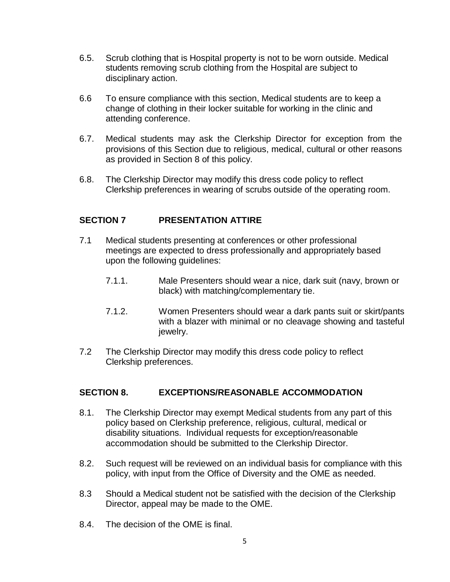- 6.5. Scrub clothing that is Hospital property is not to be worn outside. Medical students removing scrub clothing from the Hospital are subject to disciplinary action.
- 6.6 To ensure compliance with this section, Medical students are to keep a change of clothing in their locker suitable for working in the clinic and attending conference.
- 6.7. Medical students may ask the Clerkship Director for exception from the provisions of this Section due to religious, medical, cultural or other reasons as provided in Section 8 of this policy.
- 6.8. The Clerkship Director may modify this dress code policy to reflect Clerkship preferences in wearing of scrubs outside of the operating room.

# **SECTION 7 PRESENTATION ATTIRE**

- 7.1 Medical students presenting at conferences or other professional meetings are expected to dress professionally and appropriately based upon the following guidelines:
	- 7.1.1. Male Presenters should wear a nice, dark suit (navy, brown or black) with matching/complementary tie.
	- 7.1.2. Women Presenters should wear a dark pants suit or skirt/pants with a blazer with minimal or no cleavage showing and tasteful jewelry.
- 7.2 The Clerkship Director may modify this dress code policy to reflect Clerkship preferences.

#### **SECTION 8. EXCEPTIONS/REASONABLE ACCOMMODATION**

- 8.1. The Clerkship Director may exempt Medical students from any part of this policy based on Clerkship preference, religious, cultural, medical or disability situations. Individual requests for exception/reasonable accommodation should be submitted to the Clerkship Director.
- 8.2. Such request will be reviewed on an individual basis for compliance with this policy, with input from the Office of Diversity and the OME as needed.
- 8.3 Should a Medical student not be satisfied with the decision of the Clerkship Director, appeal may be made to the OME.
- 8.4. The decision of the OME is final.